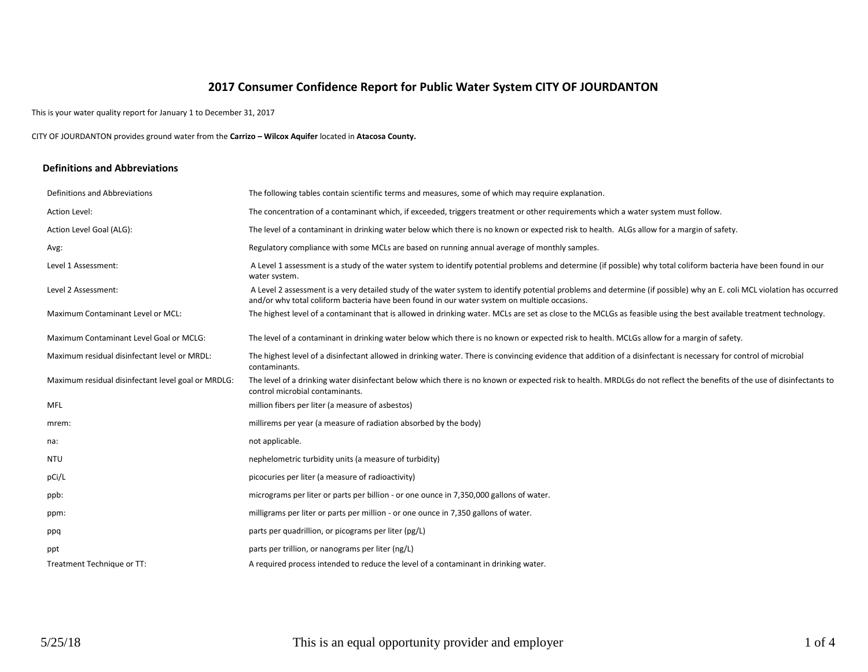# **2017 Consumer Confidence Report for Public Water System CITY OF JOURDANTON**

This is your water quality report for January 1 to December 31, 2017

CITY OF JOURDANTON provides ground water from the **Carrizo – Wilcox Aquifer** located in **Atacosa County.**

#### **Definitions and Abbreviations**

| Definitions and Abbreviations                      | The following tables contain scientific terms and measures, some of which may require explanation.                                                                                                                                                                      |
|----------------------------------------------------|-------------------------------------------------------------------------------------------------------------------------------------------------------------------------------------------------------------------------------------------------------------------------|
| Action Level:                                      | The concentration of a contaminant which, if exceeded, triggers treatment or other requirements which a water system must follow.                                                                                                                                       |
| Action Level Goal (ALG):                           | The level of a contaminant in drinking water below which there is no known or expected risk to health. ALGs allow for a margin of safety.                                                                                                                               |
| Avg:                                               | Regulatory compliance with some MCLs are based on running annual average of monthly samples.                                                                                                                                                                            |
| Level 1 Assessment:                                | A Level 1 assessment is a study of the water system to identify potential problems and determine (if possible) why total coliform bacteria have been found in our<br>water system.                                                                                      |
| Level 2 Assessment:                                | A Level 2 assessment is a very detailed study of the water system to identify potential problems and determine (if possible) why an E. coli MCL violation has occurred<br>and/or why total coliform bacteria have been found in our water system on multiple occasions. |
| Maximum Contaminant Level or MCL:                  | The highest level of a contaminant that is allowed in drinking water. MCLs are set as close to the MCLGs as feasible using the best available treatment technology.                                                                                                     |
| Maximum Contaminant Level Goal or MCLG:            | The level of a contaminant in drinking water below which there is no known or expected risk to health. MCLGs allow for a margin of safety.                                                                                                                              |
| Maximum residual disinfectant level or MRDL:       | The highest level of a disinfectant allowed in drinking water. There is convincing evidence that addition of a disinfectant is necessary for control of microbial<br>contaminants.                                                                                      |
| Maximum residual disinfectant level goal or MRDLG: | The level of a drinking water disinfectant below which there is no known or expected risk to health. MRDLGs do not reflect the benefits of the use of disinfectants to<br>control microbial contaminants.                                                               |
| <b>MFL</b>                                         | million fibers per liter (a measure of asbestos)                                                                                                                                                                                                                        |
| mrem:                                              | millirems per year (a measure of radiation absorbed by the body)                                                                                                                                                                                                        |
| na:                                                | not applicable.                                                                                                                                                                                                                                                         |
| <b>NTU</b>                                         | nephelometric turbidity units (a measure of turbidity)                                                                                                                                                                                                                  |
| pCi/L                                              | picocuries per liter (a measure of radioactivity)                                                                                                                                                                                                                       |
| ppb:                                               | micrograms per liter or parts per billion - or one ounce in 7,350,000 gallons of water.                                                                                                                                                                                 |
| ppm:                                               | milligrams per liter or parts per million - or one ounce in 7,350 gallons of water.                                                                                                                                                                                     |
| ppq                                                | parts per quadrillion, or picograms per liter (pg/L)                                                                                                                                                                                                                    |
| ppt                                                | parts per trillion, or nanograms per liter (ng/L)                                                                                                                                                                                                                       |
| Treatment Technique or TT:                         | A required process intended to reduce the level of a contaminant in drinking water.                                                                                                                                                                                     |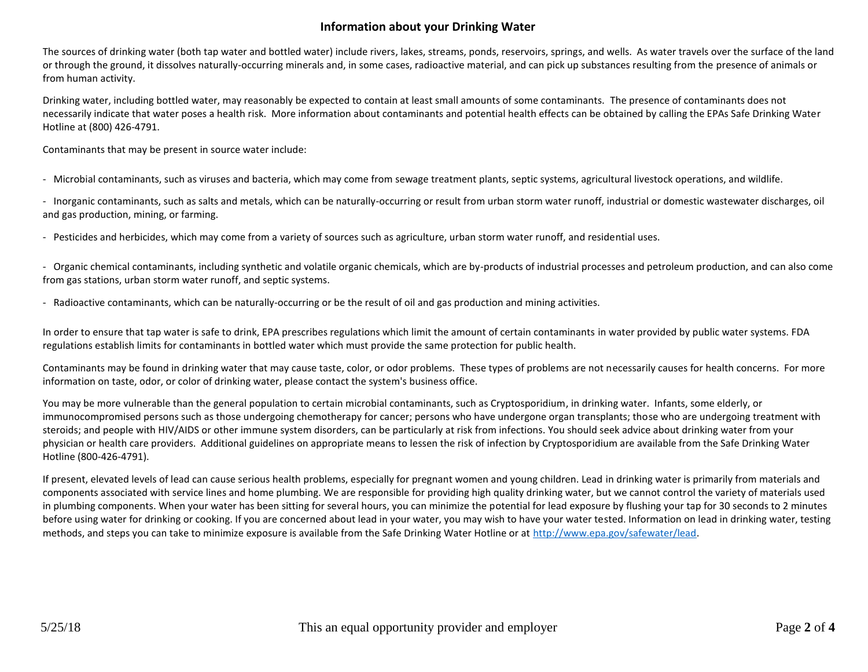## **Information about your Drinking Water**

The sources of drinking water (both tap water and bottled water) include rivers, lakes, streams, ponds, reservoirs, springs, and wells. As water travels over the surface of the land or through the ground, it dissolves naturally-occurring minerals and, in some cases, radioactive material, and can pick up substances resulting from the presence of animals or from human activity.

Drinking water, including bottled water, may reasonably be expected to contain at least small amounts of some contaminants. The presence of contaminants does not necessarily indicate that water poses a health risk. More information about contaminants and potential health effects can be obtained by calling the EPAs Safe Drinking Water Hotline at (800) 426-4791.

Contaminants that may be present in source water include:

- Microbial contaminants, such as viruses and bacteria, which may come from sewage treatment plants, septic systems, agricultural livestock operations, and wildlife.

- Inorganic contaminants, such as salts and metals, which can be naturally-occurring or result from urban storm water runoff, industrial or domestic wastewater discharges, oil and gas production, mining, or farming.

- Pesticides and herbicides, which may come from a variety of sources such as agriculture, urban storm water runoff, and residential uses.

- Organic chemical contaminants, including synthetic and volatile organic chemicals, which are by-products of industrial processes and petroleum production, and can also come from gas stations, urban storm water runoff, and septic systems.

- Radioactive contaminants, which can be naturally-occurring or be the result of oil and gas production and mining activities.

In order to ensure that tap water is safe to drink, EPA prescribes regulations which limit the amount of certain contaminants in water provided by public water systems. FDA regulations establish limits for contaminants in bottled water which must provide the same protection for public health.

Contaminants may be found in drinking water that may cause taste, color, or odor problems. These types of problems are not necessarily causes for health concerns. For more information on taste, odor, or color of drinking water, please contact the system's business office.

You may be more vulnerable than the general population to certain microbial contaminants, such as Cryptosporidium, in drinking water. Infants, some elderly, or immunocompromised persons such as those undergoing chemotherapy for cancer; persons who have undergone organ transplants; those who are undergoing treatment with steroids; and people with HIV/AIDS or other immune system disorders, can be particularly at risk from infections. You should seek advice about drinking water from your physician or health care providers. Additional guidelines on appropriate means to lessen the risk of infection by Cryptosporidium are available from the Safe Drinking Water Hotline (800-426-4791).

If present, elevated levels of lead can cause serious health problems, especially for pregnant women and young children. Lead in drinking water is primarily from materials and components associated with service lines and home plumbing. We are responsible for providing high quality drinking water, but we cannot control the variety of materials used in plumbing components. When your water has been sitting for several hours, you can minimize the potential for lead exposure by flushing your tap for 30 seconds to 2 minutes before using water for drinking or cooking. If you are concerned about lead in your water, you may wish to have your water tested. Information on lead in drinking water, testing methods, and steps you can take to minimize exposure is available from the Safe Drinking Water Hotline or at [http://www.epa.gov/safewater/lead.](http://www.epa.gov/safewater/lead)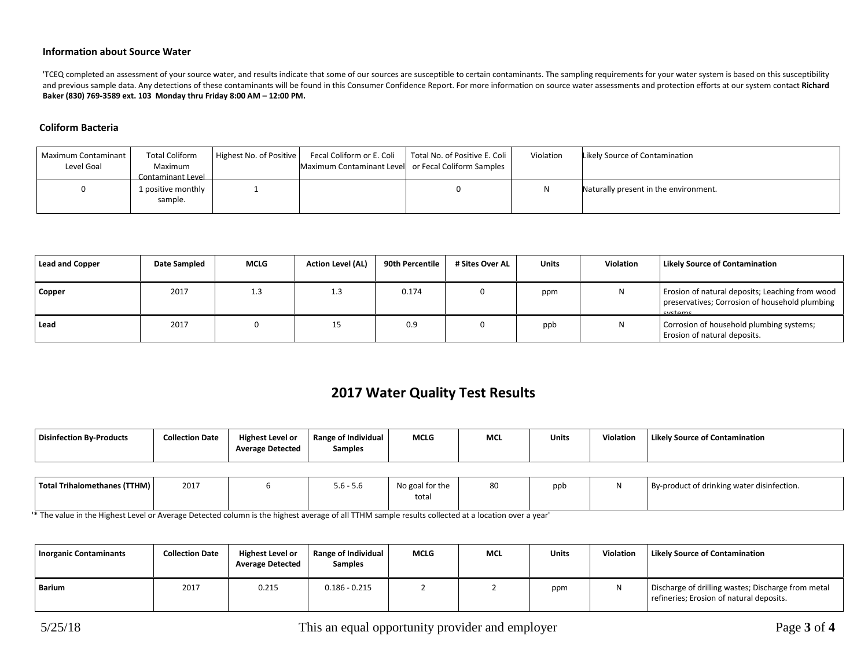#### **Information about Source Water**

'TCEQ completed an assessment of your source water, and results indicate that some of our sources are susceptible to certain contaminants. The sampling requirements for your water system is based on this susceptibility and previous sample data. Any detections of these contaminants will be found in this Consumer Confidence Report. For more information on source water assessments and protection efforts at our system contact **Richard Baker (830) 769-3589 ext. 103 Monday thru Friday 8:00 AM – 12:00 PM.**

#### **Coliform Bacteria**

| Maximum Contaminant<br>Level Goal | <b>Total Coliform</b><br>Maximum<br>Contaminant Level | Highest No. of Positive | Fecal Coliform or E. Coli<br>Maximum Contaminant Level or Fecal Coliform Samples | Total No. of Positive E. Coli | Violation | Likely Source of Contamination        |
|-----------------------------------|-------------------------------------------------------|-------------------------|----------------------------------------------------------------------------------|-------------------------------|-----------|---------------------------------------|
|                                   | 1 positive monthly<br>sample.                         |                         |                                                                                  |                               |           | Naturally present in the environment. |

| <b>Lead and Copper</b> | Date Sampled | <b>MCLG</b> | <b>Action Level (AL)</b> | 90th Percentile | # Sites Over AL | <b>Units</b> | <b>Violation</b> | <b>Likely Source of Contamination</b>                                                                        |
|------------------------|--------------|-------------|--------------------------|-----------------|-----------------|--------------|------------------|--------------------------------------------------------------------------------------------------------------|
| Copper                 | 2017         | 1.3         | 1.3                      | 0.174           |                 | ppm          |                  | Erosion of natural deposits; Leaching from wood<br>preservatives; Corrosion of household plumbing<br>cyctome |
| Lead                   | 2017         |             | 15                       | 0.9             |                 | ppb          | N                | Corrosion of household plumbing systems;<br>Erosion of natural deposits.                                     |

# **2017 Water Quality Test Results**

| Disinfection By-Products     | <b>Collection Date</b> | <b>Highest Level or</b><br><b>Average Detected</b> | Range of Individual<br><b>Samples</b> | <b>MCLG</b>     | <b>MCL</b> | <b>Units</b> | Violation | <b>Likely Source of Contamination</b>      |
|------------------------------|------------------------|----------------------------------------------------|---------------------------------------|-----------------|------------|--------------|-----------|--------------------------------------------|
|                              |                        |                                                    |                                       |                 |            |              |           |                                            |
| Total Trihalomethanes (TTHM) | 2017                   |                                                    | $5.6 - 5.6$                           | No goal for the | 80         | ppb          | N         | By-product of drinking water disinfection. |

total

'\* The value in the Highest Level or Average Detected column is the highest average of all TTHM sample results collected at a location over a year'

| <b>Inorganic Contaminants</b> | <b>Collection Date</b> | <b>Highest Level or</b><br><b>Average Detected</b> | Range of Individual<br><b>Samples</b> | <b>MCLG</b> | <b>MCL</b> | Units | <b>Violation</b> | <b>Likely Source of Contamination</b>                                                          |
|-------------------------------|------------------------|----------------------------------------------------|---------------------------------------|-------------|------------|-------|------------------|------------------------------------------------------------------------------------------------|
| Barium                        | 2017                   | 0.215                                              | $0.186 - 0.215$                       |             |            | ppm   | N                | Discharge of drilling wastes; Discharge from metal<br>refineries; Erosion of natural deposits. |